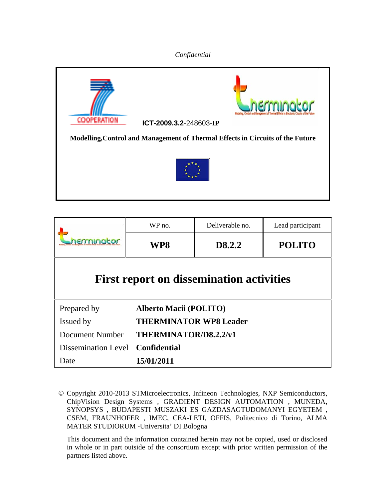*Confidential* 



|                                                 | WP no.                        | Deliverable no. | Lead participant |  |  |  |
|-------------------------------------------------|-------------------------------|-----------------|------------------|--|--|--|
| herminator                                      | WP8                           | D8.2.2          | <b>POLITO</b>    |  |  |  |
| <b>First report on dissemination activities</b> |                               |                 |                  |  |  |  |
| Prepared by                                     | <b>Alberto Macii (POLITO)</b> |                 |                  |  |  |  |
| Issued by                                       | <b>THERMINATOR WP8 Leader</b> |                 |                  |  |  |  |
| Document Number                                 | THERMINATOR/D8.2.2/v1         |                 |                  |  |  |  |
| <b>Dissemination Level</b>                      | <b>Confidential</b>           |                 |                  |  |  |  |
| Date                                            | 15/01/2011                    |                 |                  |  |  |  |

© Copyright 2010-2013 STMicroelectronics, Infineon Technologies, NXP Semiconductors, ChipVision Design Systems , GRADIENT DESIGN AUTOMATION , MUNEDA, SYNOPSYS , BUDAPESTI MUSZAKI ES GAZDASAGTUDOMANYI EGYETEM , CSEM, FRAUNHOFER , IMEC, CEA-LETI, OFFIS, Politecnico di Torino, ALMA MATER STUDIORUM -Universita' DI Bologna

 This document and the information contained herein may not be copied, used or disclosed in whole or in part outside of the consortium except with prior written permission of the partners listed above.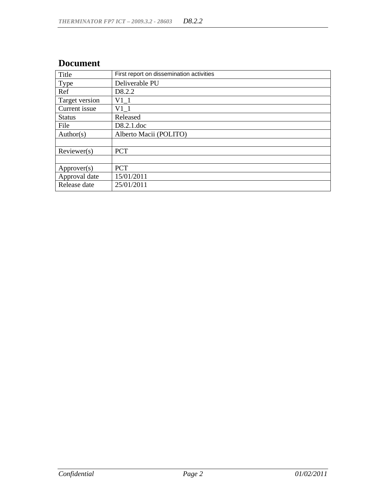# **Document**

| Title          | First report on dissemination activities |  |
|----------------|------------------------------------------|--|
| Type           | Deliverable PU                           |  |
| Ref            | D <sub>8.2.2</sub>                       |  |
| Target version | $V1_{-1}$                                |  |
| Current issue  | $V1$ 1                                   |  |
| <b>Status</b>  | Released                                 |  |
| File           | $D8.2.1$ .doc                            |  |
| Author(s)      | Alberto Macii (POLITO)                   |  |
|                |                                          |  |
| Reviewer(s)    | <b>PCT</b>                               |  |
|                |                                          |  |
| Approver(s)    | <b>PCT</b>                               |  |
| Approval date  | 15/01/2011                               |  |
| Release date   | 25/01/2011                               |  |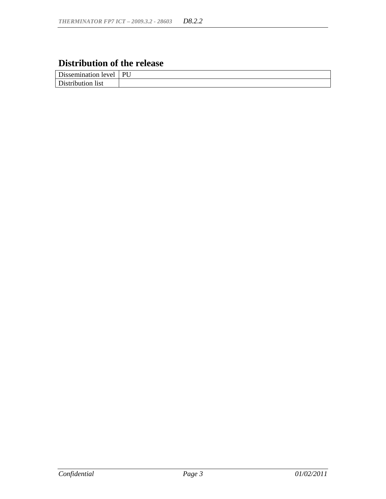# **Distribution of the release**

| Dissemination level   PU |  |
|--------------------------|--|
| Distribution list        |  |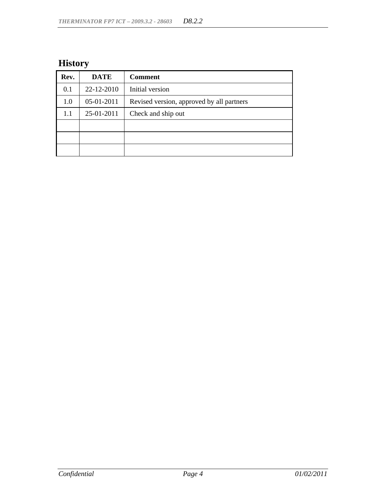# **History**

| Rev. | <b>DATE</b> | <b>Comment</b>                            |
|------|-------------|-------------------------------------------|
| 0.1  | 22-12-2010  | Initial version                           |
| 1.0  | 05-01-2011  | Revised version, approved by all partners |
| 1.1  | 25-01-2011  | Check and ship out                        |
|      |             |                                           |
|      |             |                                           |
|      |             |                                           |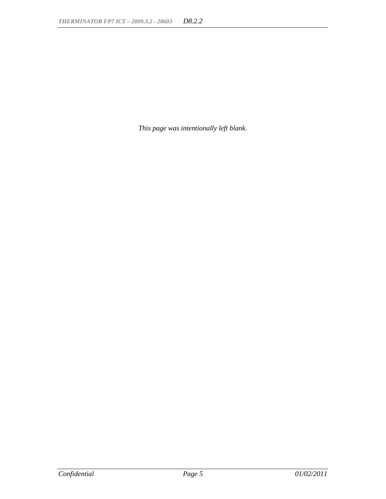*This page was intentionally left blank.*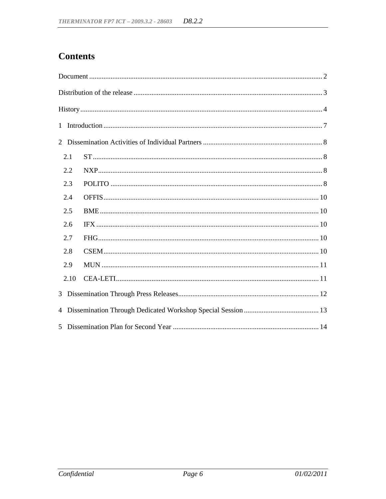# **Contents**

| 2.1  |  |
|------|--|
| 2.2  |  |
| 2.3  |  |
| 2.4  |  |
| 2.5  |  |
| 2.6  |  |
| 2.7  |  |
| 2.8  |  |
| 2.9  |  |
| 2.10 |  |
|      |  |
|      |  |
|      |  |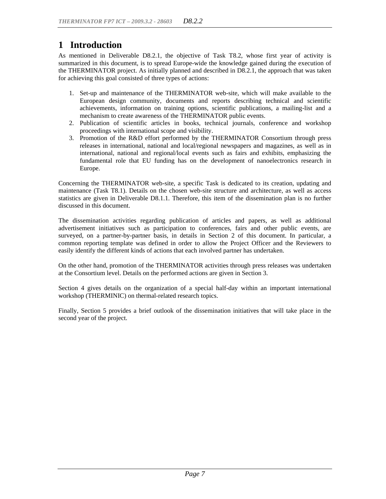# **1 Introduction**

As mentioned in Deliverable D8.2.1, the objective of Task T8.2, whose first year of activity is summarized in this document, is to spread Europe-wide the knowledge gained during the execution of the THERMINATOR project. As initially planned and described in D8.2.1, the approach that was taken for achieving this goal consisted of three types of actions:

- 1. Set-up and maintenance of the THERMINATOR web-site, which will make available to the European design community, documents and reports describing technical and scientific achievements, information on training options, scientific publications, a mailing-list and a mechanism to create awareness of the THERMINATOR public events.
- 2. Publication of scientific articles in books, technical journals, conference and workshop proceedings with international scope and visibility.
- 3. Promotion of the R&D effort performed by the THERMINATOR Consortium through press releases in international, national and local/regional newspapers and magazines, as well as in international, national and regional/local events such as fairs and exhibits, emphasizing the fundamental role that EU funding has on the development of nanoelectronics research in Europe.

Concerning the THERMINATOR web-site, a specific Task is dedicated to its creation, updating and maintenance (Task T8.1). Details on the chosen web-site structure and architecture, as well as access statistics are given in Deliverable D8.1.1. Therefore, this item of the dissemination plan is no further discussed in this document.

The dissemination activities regarding publication of articles and papers, as well as additional advertisement initiatives such as participation to conferences, fairs and other public events, are surveyed, on a partner-by-partner basis, in details in Section 2 of this document. In particular, a common reporting template was defined in order to allow the Project Officer and the Reviewers to easily identify the different kinds of actions that each involved partner has undertaken.

On the other hand, promotion of the THERMINATOR activities through press releases was undertaken at the Consortium level. Details on the performed actions are given in Section 3.

Section 4 gives details on the organization of a special half-day within an important international workshop (THERMINIC) on thermal-related research topics.

Finally, Section 5 provides a brief outlook of the dissemination initiatives that will take place in the second year of the project.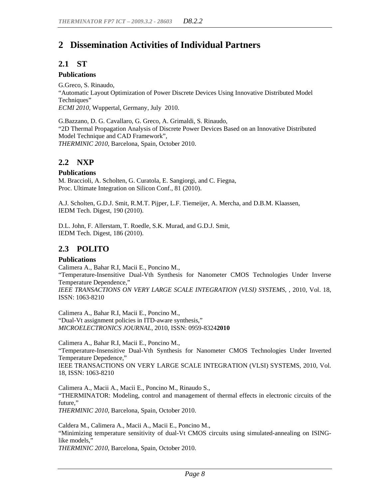## **2 Dissemination Activities of Individual Partners**

## **2.1 ST**

#### **Publications**

G.Greco, S. Rinaudo, "Automatic Layout Optimization of Power Discrete Devices Using Innovative Distributed Model Techniques" *ECMI 2010,* Wuppertal, Germany, July 2010.

G.Bazzano, D. G. Cavallaro, G. Greco, A. Grimaldi, S. Rinaudo, "2D Thermal Propagation Analysis of Discrete Power Devices Based on an Innovative Distributed Model Technique and CAD Framework", *THERMINIC 2010*, Barcelona, Spain, October 2010.

## **2.2 NXP**

#### **Publications**

M. Braccioli, A. Scholten, G. Curatola, E. Sangiorgi, and C. Fiegna, Proc. Ultimate Integration on Silicon Conf., 81 (2010).

A.J. Scholten, G.D.J. Smit, R.M.T. Pijper, L.F. Tiemeijer, A. Mercha, and D.B.M. Klaassen, IEDM Tech. Digest, 190 (2010).

D.L. John, F. Allerstam, T. Roedle, S.K. Murad, and G.D.J. Smit, IEDM Tech. Digest, 186 (2010).

### **2.3 POLITO**

#### **Publications**

Calimera A., Bahar R.I, Macii E., Poncino M., "Temperature-Insensitive Dual-Vth Synthesis for Nanometer CMOS Technologies Under Inverse Temperature Dependence,"

*IEEE TRANSACTIONS ON VERY LARGE SCALE INTEGRATION (VLSI) SYSTEMS*, , 2010, Vol. 18, ISSN: 1063-8210

Calimera A., Bahar R.I, Macii E., Poncino M., "Dual-Vt assignment policies in ITD-aware synthesis," *MICROELECTRONICS JOURNAL*, 2010, ISSN: 0959-8324**2010**

Calimera A., Bahar R.I, Macii E., Poncino M., "Temperature-Insensitive Dual-Vth Synthesis for Nanometer CMOS Technologies Under Inverted Temperature Depedence," IEEE TRANSACTIONS ON VERY LARGE SCALE INTEGRATION (VLSI) SYSTEMS, 2010, Vol.

18, ISSN: 1063-8210 Calimera A., Macii A., Macii E., Poncino M., Rinaudo S.,

"THERMINATOR: Modeling, control and management of thermal effects in electronic circuits of the future,"

*THERMINIC 2010*, Barcelona, Spain, October 2010.

Caldera M., Calimera A., Macii A., Macii E., Poncino M., "Minimizing temperature sensitivity of dual-Vt CMOS circuits using simulated-annealing on ISINGlike models," *THERMINIC 2010*, Barcelona, Spain, October 2010.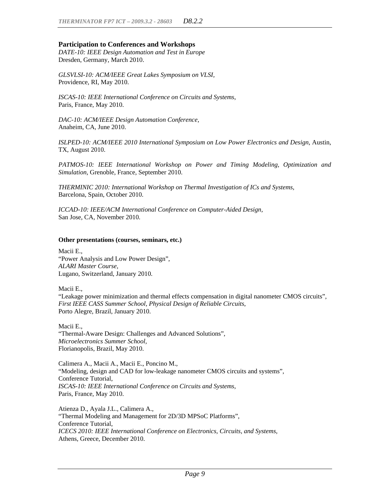#### **Participation to Conferences and Workshops**

*DATE-10: IEEE Design Automation and Test in Europe*  Dresden, Germany, March 2010.

*GLSVLSI-10: ACM/IEEE Great Lakes Symposium on VLSI,*  Providence, RI, May 2010.

*ISCAS-10: IEEE International Conference on Circuits and Systems*, Paris, France, May 2010.

*DAC-10: ACM/IEEE Design Automation Conference,*  Anaheim, CA, June 2010.

*ISLPED-10: ACM/IEEE 2010 International Symposium on Low Power Electronics and Design, Austin,* TX, August 2010.

*PATMOS-10: IEEE International Workshop on Power and Timing Modeling, Optimization and Simulation,* Grenoble, France, September 2010.

*THERMINIC 2010: International Workshop on Thermal Investigation of ICs and Systems,*  Barcelona, Spain, October 2010.

*ICCAD-10: IEEE/ACM International Conference on Computer-Aided Design,*  San Jose, CA, November 2010.

#### **Other presentations (courses, seminars, etc.)**

Macii E., "Power Analysis and Low Power Design", *ALARI Master Course,*  Lugano, Switzerland, January 2010.

Macii E.,

"Leakage power minimization and thermal effects compensation in digital nanometer CMOS circuits", *First IEEE CASS Summer School, Physical Design of Reliable Circuits*, Porto Alegre, Brazil, January 2010.

Macii E., "Thermal-Aware Design: Challenges and Advanced Solutions", *Microelectronics Summer School,*  Florianopolis, Brazil, May 2010.

Calimera A., Macii A., Macii E., Poncino M., "Modeling, design and CAD for low-leakage nanometer CMOS circuits and systems", Conference Tutorial, *ISCAS-10: IEEE International Conference on Circuits and Systems,*  Paris, France, May 2010.

Atienza D., Ayala J.L., Calimera A., "Thermal Modeling and Management for 2D/3D MPSoC Platforms", Conference Tutorial, *ICECS 2010: IEEE International Conference on Electronics, Circuits, and Systems,*  Athens, Greece, December 2010.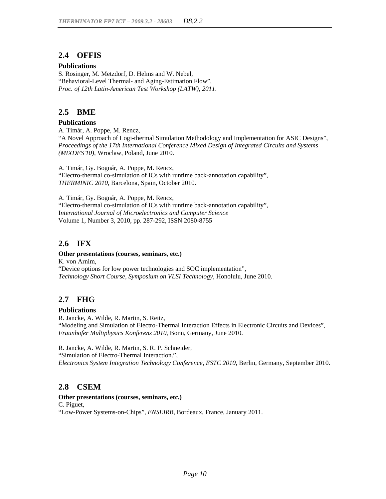## **2.4 OFFIS**

### **Publications**

S. Rosinger, M. Metzdorf, D. Helms and W. Nebel, "Behavioral-Level Thermal- and Aging-Estimation Flow", *Proc. of 12th Latin-American Test Workshop (LATW), 2011*.

## **2.5 BME**

### **Publications**

A. Timár, A. Poppe, M. Rencz, "A Novel Approach of Logi-thermal Simulation Methodology and Implementation for ASIC Designs", *Proceedings of the 17th International Conference Mixed Design of Integrated Circuits and Systems (MIXDES'10),* Wroclaw, Poland, June 2010.

A. Timár, Gy. Bognár, A. Poppe, M. Rencz, "Electro-thermal co-simulation of ICs with runtime back-annotation capability", *THERMINIC 2010*, Barcelona, Spain, October 2010.

A. Timár, Gy. Bognár, A. Poppe, M. Rencz, "Electro-thermal co-simulation of ICs with runtime back-annotation capability", I*nternational Journal of Microelectronics and Computer Science* Volume 1, Number 3, 2010, pp. 287-292, ISSN 2080-8755

## **2.6 IFX**

### **Other presentations (courses, seminars, etc.)**

K. von Arnim, "Device options for low power technologies and SOC implementation", *Technology Short Course, Symposium on VLSI Technology*, Honolulu, June 2010.

## **2.7 FHG**

### **Publications**

R. Jancke, A. Wilde, R. Martin, S. Reitz, "Modeling and Simulation of Electro-Thermal Interaction Effects in Electronic Circuits and Devices", *Fraunhofer Multiphysics Konferenz 2010*, Bonn, Germany, June 2010.

R. Jancke, A. Wilde, R. Martin, S. R. P. Schneider, "Simulation of Electro-Thermal Interaction.", *Electronics System Integration Technology Conference, ESTC 2010*, Berlin, Germany, September 2010.

## **2.8 CSEM**

#### **Other presentations (courses, seminars, etc.)**

C. Piguet,

"Low-Power Systems-on-Chips", *ENSEIRB*, Bordeaux, France, January 2011.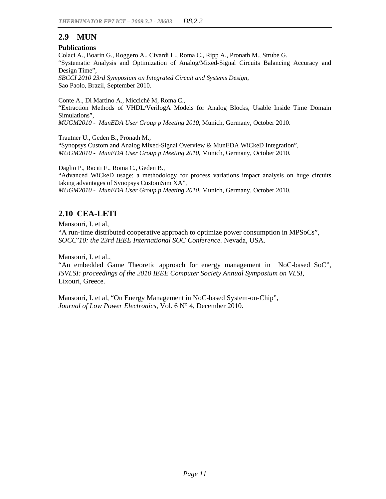## **2.9 MUN**

### **Publications**

Colaci A., Boarin G., Roggero A., Civardi L., Roma C., Ripp A., Pronath M., Strube G. "Systematic Analysis and Optimization of Analog/Mixed-Signal Circuits Balancing Accuracy and Design Time", *SBCCI 2010 23rd Symposium on Integrated Circuit and Systems Design*, Sao Paolo, Brazil, September 2010.

Conte A., Di Martino A., Miccichè M, Roma C., "Extraction Methods of VHDL/VerilogA Models for Analog Blocks, Usable Inside Time Domain Simulations", *MUGM2010 - MunEDA User Group p Meeting 2010*, Munich, Germany, October 2010.

Trautner U., Geden B., Pronath M.,

"Synopsys Custom and Analog Mixed-Signal Overview & MunEDA WiCkeD Integration", *MUGM2010 - MunEDA User Group p Meeting 2010*, Munich, Germany, October 2010.

Daglio P., Raciti E., Roma C., Geden B.,

"Advanced WiCkeD usage: a methodology for process variations impact analysis on huge circuits taking advantages of Synopsys CustomSim XA", *MUGM2010 - MunEDA User Group p Meeting 2010*, Munich, Germany, October 2010.

## **2.10 CEA-LETI**

Mansouri, I. et al,

"A run-time distributed cooperative approach to optimize power consumption in MPSoCs", *SOCC'10: the 23rd IEEE International SOC Conference.* Nevada, USA.

Mansouri, I. et al.,

"An embedded Game Theoretic approach for energy management in NoC-based SoC", *ISVLSI: proceedings of the 2010 IEEE Computer Society Annual Symposium on VLSI*, Lixouri, Greece.

Mansouri, I. et al, "On Energy Management in NoC-based System-on-Chip", *Journal of Low Power Electronics*, Vol. 6 N° 4, December 2010.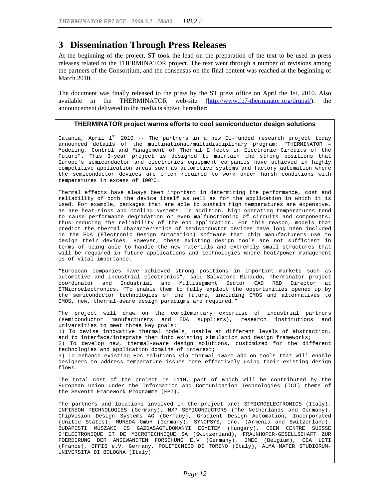## **3 Dissemination Through Press Releases**

At the beginning of the project, ST took the lead on the preparation of the text to be used in press releases related to the THERMINATOR project. The text went through a number of revisions among the partners of the Consortium, and the consensus on the final content was reached at the beginning of March 2010.

The document was finally released to the press by the ST press office on April the 1st, 2010. Also available in the THERMINATOR web-site (http://www.fp7-therminator.org/drupal/): the announcement delivered to the media is shown hereafter:

#### **THERMINATOR project warms efforts to cool semiconductor design solutions**

Catania, April  $1^{st}$  2010 -- The partners in a new EU-funded research project today announced details of the multinational/multidisciplinary program: "THERMINATOR -Modeling, Control and Management of Thermal Effects in Electronic Circuits of the Future". This 3-year project is designed to maintain the strong positions that Europe's semiconductor and electronics equipment companies have achieved in highly competitive application areas such as automotive systems and factory automation where the semiconductor devices are often required to work under harsh conditions with temperatures in excess of  $100^{\circ}$ C.

Thermal effects have always been important in determining the performance, cost and reliability of both the device itself as well as for the application in which it is used. For example, packages that are able to sustain high temperatures are expensive, as are heat-sinks and cooling systems. In addition, high operating temperatures tend to cause performance degradation or even malfunctioning of circuits and components, thus reducing the reliability of the end application. For this reason, models that predict the thermal characteristics of semiconductor devices have long been included in the EDA (Electronic Design Automation) software that chip manufacturers use to design their devices. However, these existing design tools are not sufficient in terms of being able to handle the new materials and extremely small structures that will be required in future applications and technologies where heat/power management is of vital importance.

"European companies have achieved strong positions in important markets such as automotive and industrial electronics", said Salvatore Rinaudo, Therminator project coordinator and Industrial and Multisegment Sector CAD R&D Director at STMicroelectronics. "To enable them to fully exploit the opportunities opened up by the semiconductor technologies of the future, including CMOS and alternatives to CMOS, new, thermal-aware design paradigms are required."

The project will draw on the complementary expertise of industrial partners (semiconductor manufacturers and EDA suppliers), research institutions and universities to meet three key goals:

1) To devise innovative thermal models, usable at different levels of abstraction, and to interface/integrate them into existing simulation and design frameworks;

2) To develop new, thermal-aware design solutions, customized for the different technologies and application domains of interest;

3) To enhance existing EDA solutions via thermal-aware add-on tools that will enable designers to address temperature issues more effectively using their existing design flows.

The total cost of the project is €11M, part of which will be contributed by the European Union under the Information and Communication Technologies (ICT) theme of the Seventh Framework Programme (FP7).

The partners and locations involved in the project are: STMICROELECTRONICS (Italy), INFINEON TECHNOLOGIES (Germany), NXP SEMICONDUCTORS (The Netherlands and Germany), ChipVision Design Systems AG (Germany), Gradient Design Automation, Incorporated (United States), MUNEDA GmbH (Germany), SYNOPSYS, Inc. (Armenia and Switzerland), BUDAPESTI MUSZAKI ES GAZDASAGTUDOMANYI EGYETEM (Hungary), CSEM CENTRE SUISSE D'ELECTRONIQUE ET DE MICROTECHNIQUE SA (Switzerland), FRAUNHOFER-GESELLSCHAFT ZUR FOERDERUNG DER ANGEWANDTEN FORSCHUNG E.V (Germany), IMEC (Belgium), CEA LETI (France), OFFIS e.V. Germany, POLITECNICO DI TORINO (Italy), ALMA MATER STUDIORUM-UNIVERSITA DI BOLOGNA (Italy)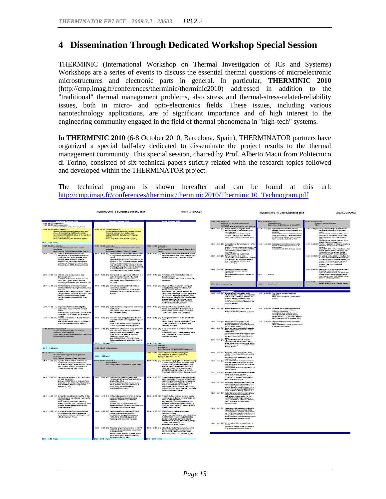## **4 Dissemination Through Dedicated Workshop Special Session**

THERMINIC (International Workshop on Thermal Investigation of ICs and Systems) Workshops are a series of events to discuss the essential thermal questions of microelectronic microstructures and electronic parts in general. In particular, **THERMINIC 2010** (http://cmp.imag.fr/conferences/therminic/therminic2010) addressed in addition to the "traditional" thermal management problems, also stress and thermal-stress-related-reliability issues, both in micro- and opto-electronics fields. These issues, including various nanotechnology applications, are of significant importance and of high interest to the engineering community engaged in the field of thermal phenomena in "high-tech" systems.

In **THERMINIC 2010** (6-8 October 2010, Barcelona, Spain), THERMINATOR partners have organized a special half-day dedicated to disseminate the project results to the thermal management community. This special session, chaired by Prof. Alberto Macii from Politecnico di Torino, consisted of six technical papers strictly related with the research topics followed and developed within the THERMINATOR project.

The technical program is shown hereafter and can be found at this url: http://cmp.imag.fr/conferences/therminic/therminic2010/Therminic10\_Technogram.pdf